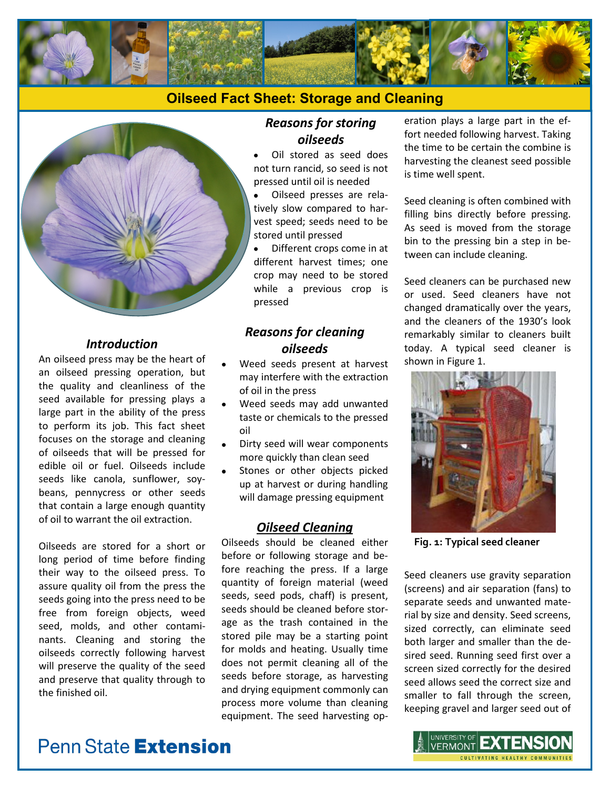



### *Introduction*

An oilseed press may be the heart of an oilseed pressing operation, but the quality and cleanliness of the seed available for pressing plays a large part in the ability of the press to perform its job. This fact sheet focuses on the storage and cleaning of oilseeds that will be pressed for edible oil or fuel. Oilseeds include seeds like canola, sunflower, soybeans, pennycress or other seeds that contain a large enough quantity of oil to warrant the oil extraction.

Oilseeds are stored for a short or long period of time before finding their way to the oilseed press. To assure quality oil from the press the seeds going into the press need to be free from foreign objects, weed seed, molds, and other contaminants. Cleaning and storing the oilseeds correctly following harvest will preserve the quality of the seed and preserve that quality through to the finished oil.

### *Reasons for storing oilseeds*

Oil stored as seed does not turn rancid, so seed is not pressed until oil is needed

Oilseed presses are relatively slow compared to harvest speed; seeds need to be stored until pressed

Different crops come in at different harvest times; one crop may need to be stored while a previous crop is pressed

# *Reasons for cleaning oilseeds*

- Weed seeds present at harvest may interfere with the extraction of oil in the press
- Weed seeds may add unwanted taste or chemicals to the pressed oil
- Dirty seed will wear components more quickly than clean seed
- Stones or other objects picked up at harvest or during handling will damage pressing equipment

### *Oilseed Cleaning*

Oilseeds should be cleaned either before or following storage and before reaching the press. If a large quantity of foreign material (weed seeds, seed pods, chaff) is present, seeds should be cleaned before storage as the trash contained in the stored pile may be a starting point for molds and heating. Usually time does not permit cleaning all of the seeds before storage, as harvesting and drying equipment commonly can process more volume than cleaning equipment. The seed harvesting operation plays a large part in the effort needed following harvest. Taking the time to be certain the combine is harvesting the cleanest seed possible is time well spent.

Seed cleaning is often combined with filling bins directly before pressing. As seed is moved from the storage bin to the pressing bin a step in between can include cleaning.

Seed cleaners can be purchased new or used. Seed cleaners have not changed dramatically over the years, and the cleaners of the 1930's look remarkably similar to cleaners built today. A typical seed cleaner is shown in Figure 1.



**Fig. 1: Typical seed cleaner**

Seed cleaners use gravity separation (screens) and air separation (fans) to separate seeds and unwanted material by size and density. Seed screens, sized correctly, can eliminate seed both larger and smaller than the desired seed. Running seed first over a screen sized correctly for the desired seed allows seed the correct size and smaller to fall through the screen, keeping gravel and larger seed out of



# **Penn State Extension**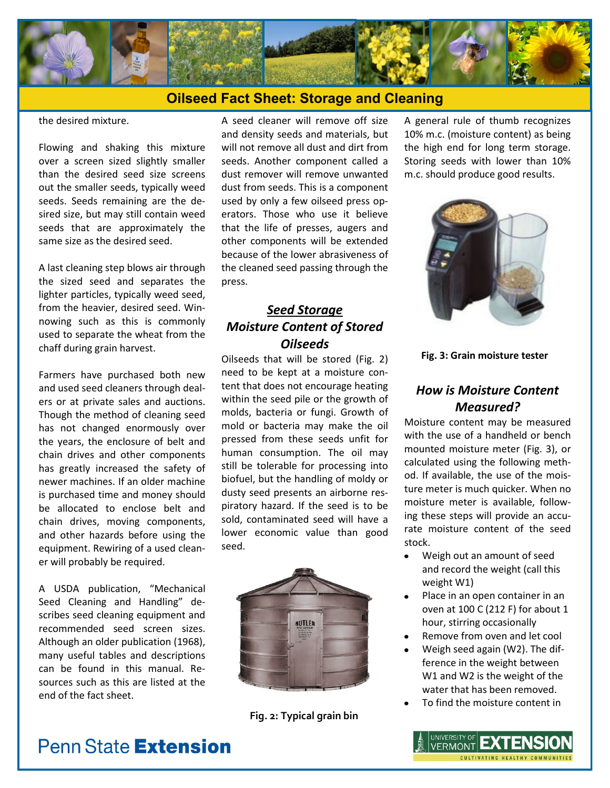

the desired mixture.

Flowing and shaking this mixture over a screen sized slightly smaller than the desired seed size screens out the smaller seeds, typically weed seeds. Seeds remaining are the desired size, but may still contain weed seeds that are approximately the same size as the desired seed.

A last cleaning step blows air through the sized seed and separates the lighter particles, typically weed seed, from the heavier, desired seed. Winnowing such as this is commonly used to separate the wheat from the chaff during grain harvest.

Farmers have purchased both new and used seed cleaners through dealers or at private sales and auctions. Though the method of cleaning seed has not changed enormously over the years, the enclosure of belt and chain drives and other components has greatly increased the safety of newer machines. If an older machine is purchased time and money should be allocated to enclose belt and chain drives, moving components, and other hazards before using the equipment. Rewiring of a used cleaner will probably be required.

A USDA publication, "Mechanical Seed Cleaning and Handling" describes seed cleaning equipment and recommended seed screen sizes. Although an older publication (1968), many useful tables and descriptions can be found in this manual. Resources such as this are listed at the end of the fact sheet.

A seed cleaner will remove off size and density seeds and materials, but will not remove all dust and dirt from seeds. Another component called a dust remover will remove unwanted dust from seeds. This is a component used by only a few oilseed press operators. Those who use it believe that the life of presses, augers and other components will be extended because of the lower abrasiveness of the cleaned seed passing through the press.

# *Seed Storage Moisture Content of Stored Oilseeds*

Oilseeds that will be stored (Fig. 2) need to be kept at a moisture content that does not encourage heating within the seed pile or the growth of molds, bacteria or fungi. Growth of mold or bacteria may make the oil pressed from these seeds unfit for human consumption. The oil may still be tolerable for processing into biofuel, but the handling of moldy or dusty seed presents an airborne respiratory hazard. If the seed is to be sold, contaminated seed will have a lower economic value than good seed.



**Fig. 2: Typical grain bin**

A general rule of thumb recognizes 10% m.c. (moisture content) as being the high end for long term storage. Storing seeds with lower than 10% m.c. should produce good results.



**Fig. 3: Grain moisture tester**

# *How is Moisture Content Measured?*

Moisture content may be measured with the use of a handheld or bench mounted moisture meter (Fig. 3), or calculated using the following method. If available, the use of the moisture meter is much quicker. When no moisture meter is available, following these steps will provide an accurate moisture content of the seed stock.

- Weigh out an amount of seed and record the weight (call this weight W1)
- Place in an open container in an oven at 100 C (212 F) for about 1 hour, stirring occasionally
- Remove from oven and let cool
- Weigh seed again (W2). The difference in the weight between W1 and W2 is the weight of the water that has been removed.
- To find the moisture content in

VERMONT

EXTEN

CULTIVATING HEALTHY COMMUNITIE

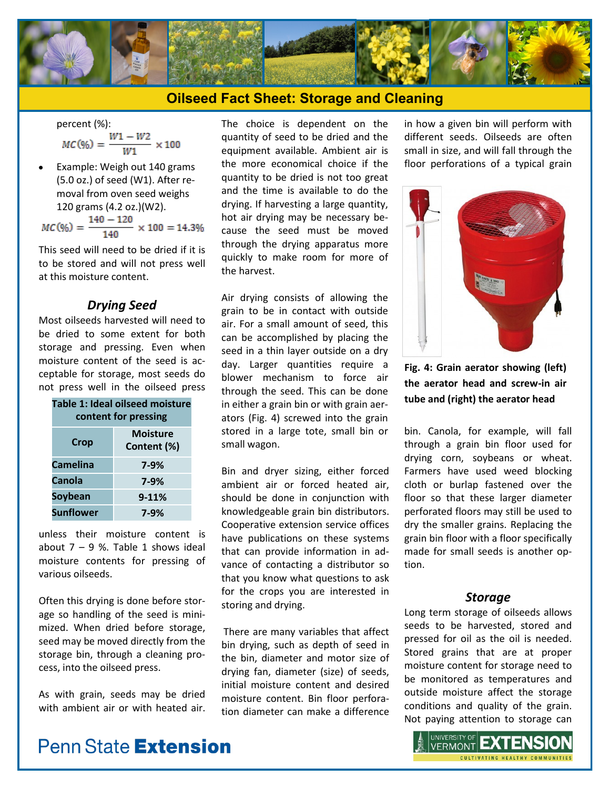

percent (%):

$$
MC(\%) = \frac{W1 - W2}{W1} \times 100
$$

Example: Weigh out 140 grams (5.0 oz.) of seed (W1). After removal from oven seed weighs 120 grams (4.2 oz.)(W2).  $MC(\%) = \frac{140 - 120}{140} \times 100 = 14.3\%$ 

This seed will need to be dried if it is to be stored and will not press well at this moisture content.

### *Drying Seed*

Most oilseeds harvested will need to be dried to some extent for both storage and pressing. Even when moisture content of the seed is acceptable for storage, most seeds do not press well in the oilseed press

| Table 1: Ideal oilseed moisture<br>content for pressing |                                |
|---------------------------------------------------------|--------------------------------|
| <b>Crop</b>                                             | <b>Moisture</b><br>Content (%) |
| <b>Camelina</b>                                         | 7-9%                           |
| Canola                                                  | $7 - 9%$                       |
| <b>Soybean</b>                                          | $9-11%$                        |
| <b>Sunflower</b>                                        | 7-9%                           |

unless their moisture content is about  $7 - 9$  %. Table 1 shows ideal moisture contents for pressing of various oilseeds.

Often this drying is done before storage so handling of the seed is minimized. When dried before storage, seed may be moved directly from the storage bin, through a cleaning process, into the oilseed press.

As with grain, seeds may be dried with ambient air or with heated air. The choice is dependent on the quantity of seed to be dried and the equipment available. Ambient air is the more economical choice if the quantity to be dried is not too great and the time is available to do the drying. If harvesting a large quantity, hot air drying may be necessary because the seed must be moved through the drying apparatus more quickly to make room for more of the harvest.

Air drying consists of allowing the grain to be in contact with outside air. For a small amount of seed, this can be accomplished by placing the seed in a thin layer outside on a dry day. Larger quantities require a blower mechanism to force air through the seed. This can be done in either a grain bin or with grain aer-**tube and (right) the aerator head Table 1: Ideal oilseed moisture**  ators (Fig. 4) screwed into the grain stored in a large tote, small bin or small wagon.

> Bin and dryer sizing, either forced ambient air or forced heated air, should be done in conjunction with knowledgeable grain bin distributors. Cooperative extension service offices have publications on these systems that can provide information in advance of contacting a distributor so that you know what questions to ask for the crops you are interested in storing and drying.

> There are many variables that affect bin drying, such as depth of seed in the bin, diameter and motor size of drying fan, diameter (size) of seeds, initial moisture content and desired moisture content. Bin floor perforation diameter can make a difference

in how a given bin will perform with different seeds. Oilseeds are often small in size, and will fall through the floor perforations of a typical grain



**Fig. 4: Grain aerator showing (left) the aerator head and screw-in air** 

bin. Canola, for example, will fall through a grain bin floor used for drying corn, soybeans or wheat. Farmers have used weed blocking cloth or burlap fastened over the floor so that these larger diameter perforated floors may still be used to dry the smaller grains. Replacing the grain bin floor with a floor specifically made for small seeds is another option.

### *Storage*

Long term storage of oilseeds allows seeds to be harvested, stored and pressed for oil as the oil is needed. Stored grains that are at proper moisture content for storage need to be monitored as temperatures and outside moisture affect the storage conditions and quality of the grain. Not paying attention to storage can



# **Penn State Extension**